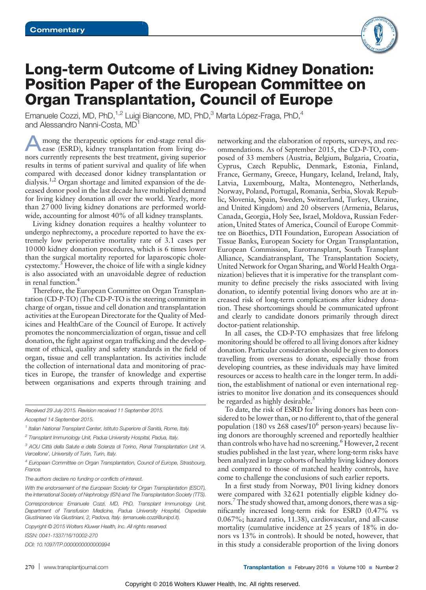

## Long-term Outcome of Living Kidney Donation: Position Paper of the European Committee on Organ Transplantation, Council of Europe

Emanuele Cozzi, MD, PhD,<sup>1,2</sup> Luigi Biancone, MD, PhD,<sup>3</sup> Marta López-Fraga, PhD,<sup>4</sup> and Alessandro Nanni-Costa, MD1

mong the therapeutic options for end-stage renal disease (ESRD), kidney transplantation from living donors currently represents the best treatment, giving superior results in terms of patient survival and quality of life when compared with deceased donor kidney transplantation or dialysis.<sup>1,2</sup> Organ shortage and limited expansion of the deceased donor pool in the last decade have multiplied demand for living kidney donation all over the world. Yearly, more than 27 000 living kidney donations are performed worldwide, accounting for almost 40% of all kidney transplants.

Living kidney donation requires a healthy volunteer to undergo nephrectomy, a procedure reported to have the extremely low perioperative mortality rate of 3.1 cases per 10000 kidney donation procedures, which is 6 times lower than the surgical mortality reported for laparoscopic cholecystectomy.<sup>3</sup> However, the choice of life with a single kidney is also associated with an unavoidable degree of reduction in renal function.4

Therefore, the European Committee on Organ Transplantation (CD-P-TO) (The CD-P-TO is the steering committee in charge of organ, tissue and cell donation and transplantation activities at the European Directorate for the Quality of Medicines and HealthCare of the Council of Europe. It actively promotes the noncommercialization of organ, tissue and cell donation, the fight against organ trafficking and the development of ethical, quality and safety standards in the field of organ, tissue and cell transplantation. Its activities include the collection of international data and monitoring of practices in Europe, the transfer of knowledge and expertise between organisations and experts through training and

Received 29 July 2015. Revision received 11 September 2015. Accepted 14 September 2015.

The authors declare no funding or conflicts of interest.

Copyright © 2015 Wolters Kluwer Health, Inc. All rights reserved.

ISSN: 0041-1337/16/10002-270

DOI: 10.1097/TP.0000000000000994

networking and the elaboration of reports, surveys, and recommendations. As of September 2015, the CD-P-TO, composed of 33 members (Austria, Belgium, Bulgaria, Croatia, Cyprus, Czech Republic, Denmark, Estonia, Finland, France, Germany, Greece, Hungary, Iceland, Ireland, Italy, Latvia, Luxembourg, Malta, Montenegro, Netherlands, Norway, Poland, Portugal, Romania, Serbia, Slovak Republic, Slovenia, Spain, Sweden, Switzerland, Turkey, Ukraine, and United Kingdom) and 20 observers (Armenia, Belarus, Canada, Georgia, Holy See, Israel, Moldova, Russian Federation, United States of America, Council of Europe Committee on Bioethics, DTI Foundation, European Association of Tissue Banks, European Society for Organ Transplantation, European Commission, Eurotransplant, South Transplant Alliance, Scandiatransplant, The Transplantation Society, United Network for Organ Sharing, and World Health Organization) believes that it is imperative for the transplant community to define precisely the risks associated with living donation, to identify potential living donors who are at increased risk of long-term complications after kidney donation. These shortcomings should be communicated upfront and clearly to candidate donors primarily through direct doctor-patient relationship.

In all cases, the CD-P-TO emphasizes that free lifelong monitoring should be offered to all living donors after kidney donation. Particular consideration should be given to donors travelling from overseas to donate, especially those from developing countries, as these individuals may have limited resources or access to health care in the longer term. In addition, the establishment of national or even international registries to monitor live donation and its consequences should be regarded as highly desirable.<sup>5</sup>

To date, the risk of ESRD for living donors has been considered to be lower than, or no different to, that of the general population (180 vs  $268$  cases/10<sup>6</sup> person-years) because living donors are thoroughly screened and reportedly healthier than controls who have had no screening.<sup>6</sup> However, 2 recent studies published in the last year, where long-term risks have been analyzed in large cohorts of healthy living kidney donors and compared to those of matched healthy controls, have come to challenge the conclusions of such earlier reports.

In a first study from Norway, 1901 living kidney donors were compared with 32 621 potentially eligible kidney donors. The study showed that, among donors, there was a significantly increased long-term risk for ESRD (0.47% vs 0.067%; hazard ratio, 11.38), cardiovascular, and all-cause mortality (cumulative incidence at 25 years of 18% in donors vs 13% in controls). It should be noted, however, that in this study a considerable proportion of the living donors

<sup>&</sup>lt;sup>1</sup> Italian National Transplant Center, Istituto Superiore di Sanità, Rome, Italy.

<sup>&</sup>lt;sup>2</sup> Transplant Immunology Unit, Padua University Hospital, Padua, Italy.

<sup>3</sup> AOU Città della Salute e della Scienza di Torino, Renal Transplantation Unit 'A. Vercellone', University of Turin, Turin, Italy.

<sup>4</sup> European Committee on Organ Transplantation, Council of Europe, Strasbourg, France.

With the endorsement of the European Society for Organ Transplantation (ESOT), the International Society of Nephrology (ISN) and The Transplantation Society (TTS).

Correspondence: Emanuele Cozzi, MD, PhD, Transplant Immunology Unit, Department of Transfusion Medicine, Padua University Hospital, Ospedale Giustinianeo Via Giustiniani, 2, Padova, Italy. ([emanuele.cozzi@unipd.it\)](mailto:emanuele.cozzi@unipd.it).